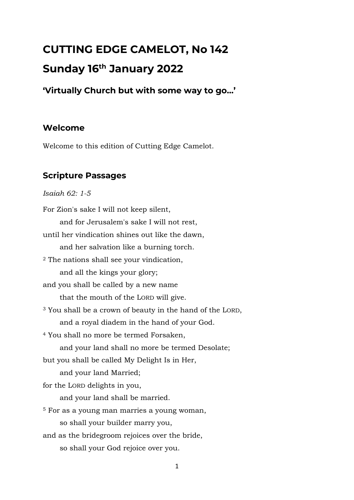# **CUTTING EDGE CAMELOT, No 142 Sunday 16th January 2022**

**'Virtually Church but with some way to go…'**

#### **Welcome**

Welcome to this edition of Cutting Edge Camelot.

#### **Scripture Passages**

*Isaiah 62: 1-5*

For Zion's sake I will not keep silent, and for Jerusalem's sake I will not rest, until her vindication shines out like the dawn, and her salvation like a burning torch. <sup>2</sup> The nations shall see your vindication, and all the kings your glory; and you shall be called by a new name that the mouth of the LORD will give. <sup>3</sup> You shall be a crown of beauty in the hand of the LORD, and a royal diadem in the hand of your God. <sup>4</sup> You shall no more be termed Forsaken, and your land shall no more be termed Desolate; but you shall be called My Delight Is in Her, and your land Married; for the LORD delights in you, and your land shall be married. <sup>5</sup> For as a young man marries a young woman, so shall your builder marry you, and as the bridegroom rejoices over the bride, so shall your God rejoice over you.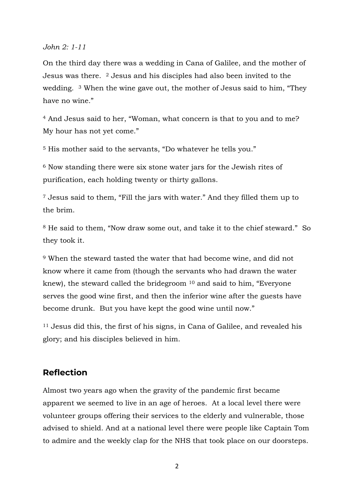*John 2: 1-11*

On the third day there was a wedding in Cana of Galilee, and the mother of Jesus was there. <sup>2</sup> Jesus and his disciples had also been invited to the wedding. <sup>3</sup> When the wine gave out, the mother of Jesus said to him, "They have no wine."

<sup>4</sup> And Jesus said to her, "Woman, what concern is that to you and to me? My hour has not yet come."

<sup>5</sup> His mother said to the servants, "Do whatever he tells you."

<sup>6</sup> Now standing there were six stone water jars for the Jewish rites of purification, each holding twenty or thirty gallons.

<sup>7</sup> Jesus said to them, "Fill the jars with water." And they filled them up to the brim.

<sup>8</sup> He said to them, "Now draw some out, and take it to the chief steward." So they took it.

<sup>9</sup> When the steward tasted the water that had become wine, and did not know where it came from (though the servants who had drawn the water knew), the steward called the bridegroom <sup>10</sup> and said to him, "Everyone serves the good wine first, and then the inferior wine after the guests have become drunk. But you have kept the good wine until now."

<sup>11</sup> Jesus did this, the first of his signs, in Cana of Galilee, and revealed his glory; and his disciples believed in him.

#### **Reflection**

Almost two years ago when the gravity of the pandemic first became apparent we seemed to live in an age of heroes. At a local level there were volunteer groups offering their services to the elderly and vulnerable, those advised to shield. And at a national level there were people like Captain Tom to admire and the weekly clap for the NHS that took place on our doorsteps.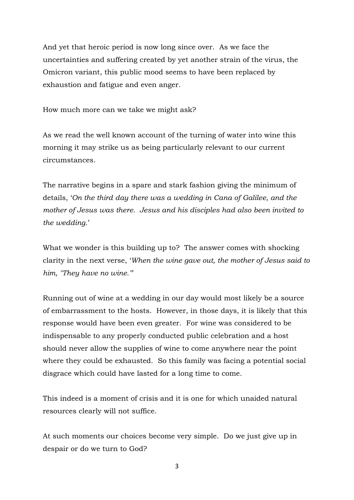And yet that heroic period is now long since over. As we face the uncertainties and suffering created by yet another strain of the virus, the Omicron variant, this public mood seems to have been replaced by exhaustion and fatigue and even anger.

How much more can we take we might ask?

As we read the well known account of the turning of water into wine this morning it may strike us as being particularly relevant to our current circumstances.

The narrative begins in a spare and stark fashion giving the minimum of details, '*On the third day there was a wedding in Cana of Galilee, and the mother of Jesus was there. Jesus and his disciples had also been invited to the wedding*.'

What we wonder is this building up to? The answer comes with shocking clarity in the next verse, '*When the wine gave out, the mother of Jesus said to him, "They have no wine."*'

Running out of wine at a wedding in our day would most likely be a source of embarrassment to the hosts. However, in those days, it is likely that this response would have been even greater. For wine was considered to be indispensable to any properly conducted public celebration and a host should never allow the supplies of wine to come anywhere near the point where they could be exhausted. So this family was facing a potential social disgrace which could have lasted for a long time to come.

This indeed is a moment of crisis and it is one for which unaided natural resources clearly will not suffice.

At such moments our choices become very simple. Do we just give up in despair or do we turn to God?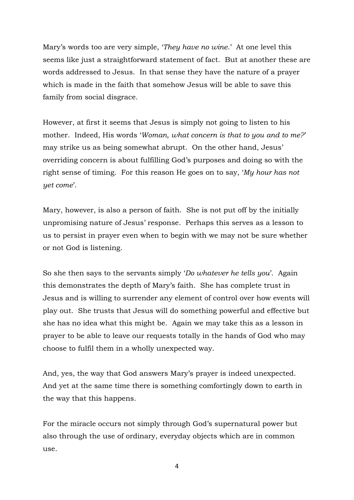Mary's words too are very simple, '*They have no wine*.' At one level this seems like just a straightforward statement of fact. But at another these are words addressed to Jesus. In that sense they have the nature of a prayer which is made in the faith that somehow Jesus will be able to save this family from social disgrace.

However, at first it seems that Jesus is simply not going to listen to his mother. Indeed, His words '*Woman, what concern is that to you and to me?*' may strike us as being somewhat abrupt. On the other hand, Jesus' overriding concern is about fulfilling God's purposes and doing so with the right sense of timing. For this reason He goes on to say, '*My hour has not yet come*'.

Mary, however, is also a person of faith. She is not put off by the initially unpromising nature of Jesus' response. Perhaps this serves as a lesson to us to persist in prayer even when to begin with we may not be sure whether or not God is listening.

So she then says to the servants simply '*Do whatever he tells you*'. Again this demonstrates the depth of Mary's faith. She has complete trust in Jesus and is willing to surrender any element of control over how events will play out. She trusts that Jesus will do something powerful and effective but she has no idea what this might be. Again we may take this as a lesson in prayer to be able to leave our requests totally in the hands of God who may choose to fulfil them in a wholly unexpected way.

And, yes, the way that God answers Mary's prayer is indeed unexpected. And yet at the same time there is something comfortingly down to earth in the way that this happens.

For the miracle occurs not simply through God's supernatural power but also through the use of ordinary, everyday objects which are in common use.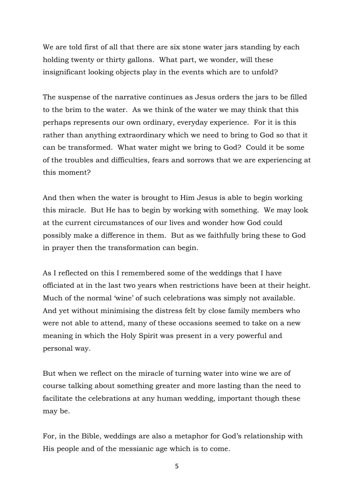We are told first of all that there are six stone water jars standing by each holding twenty or thirty gallons. What part, we wonder, will these insignificant looking objects play in the events which are to unfold?

The suspense of the narrative continues as Jesus orders the jars to be filled to the brim to the water. As we think of the water we may think that this perhaps represents our own ordinary, everyday experience. For it is this rather than anything extraordinary which we need to bring to God so that it can be transformed. What water might we bring to God? Could it be some of the troubles and difficulties, fears and sorrows that we are experiencing at this moment?

And then when the water is brought to Him Jesus is able to begin working this miracle. But He has to begin by working with something. We may look at the current circumstances of our lives and wonder how God could possibly make a difference in them. But as we faithfully bring these to God in prayer then the transformation can begin.

As I reflected on this I remembered some of the weddings that I have officiated at in the last two years when restrictions have been at their height. Much of the normal 'wine' of such celebrations was simply not available. And yet without minimising the distress felt by close family members who were not able to attend, many of these occasions seemed to take on a new meaning in which the Holy Spirit was present in a very powerful and personal way.

But when we reflect on the miracle of turning water into wine we are of course talking about something greater and more lasting than the need to facilitate the celebrations at any human wedding, important though these may be.

For, in the Bible, weddings are also a metaphor for God's relationship with His people and of the messianic age which is to come.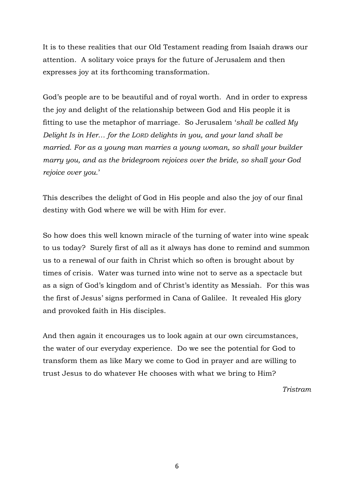It is to these realities that our Old Testament reading from Isaiah draws our attention. A solitary voice prays for the future of Jerusalem and then expresses joy at its forthcoming transformation.

God's people are to be beautiful and of royal worth. And in order to express the joy and delight of the relationship between God and His people it is fitting to use the metaphor of marriage. So Jerusalem '*shall be called My Delight Is in Her… for the LORD delights in you, and your land shall be married. For as a young man marries a young woman, so shall your builder marry you, and as the bridegroom rejoices over the bride, so shall your God rejoice over you.*'

This describes the delight of God in His people and also the joy of our final destiny with God where we will be with Him for ever.

So how does this well known miracle of the turning of water into wine speak to us today? Surely first of all as it always has done to remind and summon us to a renewal of our faith in Christ which so often is brought about by times of crisis. Water was turned into wine not to serve as a spectacle but as a sign of God's kingdom and of Christ's identity as Messiah. For this was the first of Jesus' signs performed in Cana of Galilee. It revealed His glory and provoked faith in His disciples.

And then again it encourages us to look again at our own circumstances, the water of our everyday experience. Do we see the potential for God to transform them as like Mary we come to God in prayer and are willing to trust Jesus to do whatever He chooses with what we bring to Him?

*Tristram*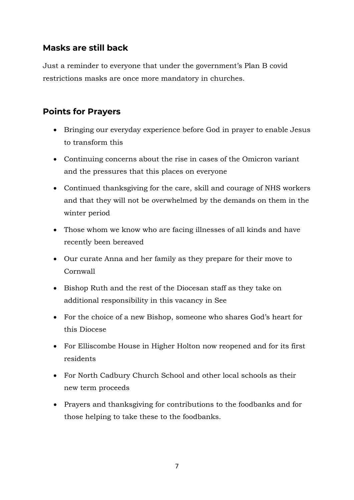# **Masks are still back**

Just a reminder to everyone that under the government's Plan B covid restrictions masks are once more mandatory in churches.

# **Points for Prayers**

- Bringing our everyday experience before God in prayer to enable Jesus to transform this
- Continuing concerns about the rise in cases of the Omicron variant and the pressures that this places on everyone
- Continued thanksgiving for the care, skill and courage of NHS workers and that they will not be overwhelmed by the demands on them in the winter period
- Those whom we know who are facing illnesses of all kinds and have recently been bereaved
- Our curate Anna and her family as they prepare for their move to Cornwall
- Bishop Ruth and the rest of the Diocesan staff as they take on additional responsibility in this vacancy in See
- For the choice of a new Bishop, someone who shares God's heart for this Diocese
- For Elliscombe House in Higher Holton now reopened and for its first residents
- For North Cadbury Church School and other local schools as their new term proceeds
- Prayers and thanksgiving for contributions to the foodbanks and for those helping to take these to the foodbanks.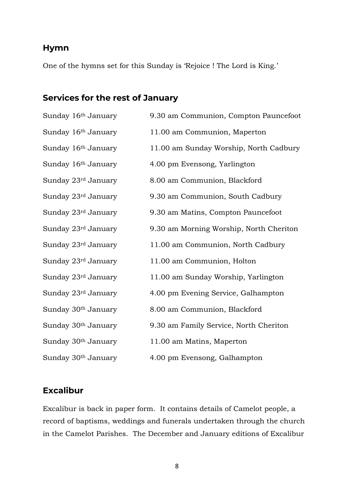#### **Hymn**

One of the hymns set for this Sunday is 'Rejoice ! The Lord is King.'

# **Services for the rest of January**

| Sunday 16 <sup>th</sup> January | 9.30 am Communion, Compton Pauncefoot   |
|---------------------------------|-----------------------------------------|
| Sunday 16 <sup>th</sup> January | 11.00 am Communion, Maperton            |
| Sunday 16 <sup>th</sup> January | 11.00 am Sunday Worship, North Cadbury  |
| Sunday 16 <sup>th</sup> January | 4.00 pm Evensong, Yarlington            |
| Sunday 23rd January             | 8.00 am Communion, Blackford            |
| Sunday 23rd January             | 9.30 am Communion, South Cadbury        |
| Sunday 23rd January             | 9.30 am Matins, Compton Pauncefoot      |
| Sunday 23rd January             | 9.30 am Morning Worship, North Cheriton |
| Sunday 23rd January             | 11.00 am Communion, North Cadbury       |
| Sunday 23rd January             | 11.00 am Communion, Holton              |
| Sunday 23rd January             | 11.00 am Sunday Worship, Yarlington     |
| Sunday 23rd January             | 4.00 pm Evening Service, Galhampton     |
| Sunday 30 <sup>th</sup> January | 8.00 am Communion, Blackford            |
| Sunday 30 <sup>th</sup> January | 9.30 am Family Service, North Cheriton  |
| Sunday 30 <sup>th</sup> January | 11.00 am Matins, Maperton               |
| Sunday 30 <sup>th</sup> January | 4.00 pm Evensong, Galhampton            |

#### **Excalibur**

Excalibur is back in paper form. It contains details of Camelot people, a record of baptisms, weddings and funerals undertaken through the church in the Camelot Parishes. The December and January editions of Excalibur